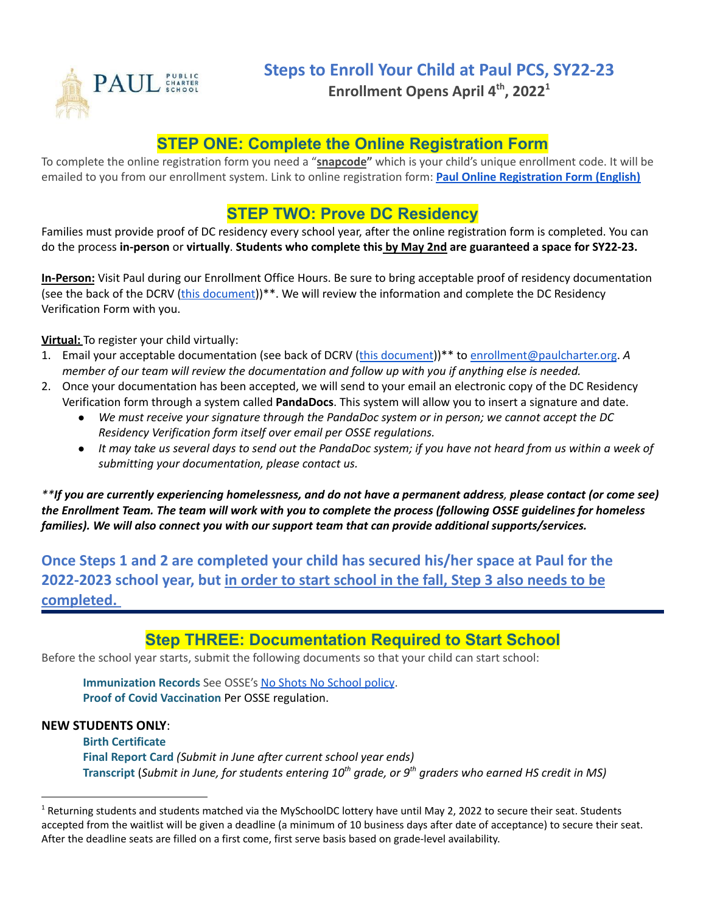

**Enrollment Opens April 4 th , 2022 1**

### **STEP ONE: Complete the Online Registration Form**

To complete the online registration form you need a "**snapcode"** which is your child's unique enrollment code. It will be emailed to you from our enrollment system. Link to online registration form: **Paul Online [Registration](https://registration.powerschool.com/family/gosnap.aspx?action=31589&culture=en) Form (English)**

## **STEP TWO: Prove DC Residency**

Families must provide proof of DC residency every school year, after the online registration form is completed. You can do the process **in-person** or **virtually**. **Students who complete this by May 2nd are guaranteed a space for SY22-23.**

**In-Person:** Visit Paul during our Enrollment Office Hours. Be sure to bring acceptable proof of residency documentation (see the back of the DCRV (this [document\)](https://osse.dc.gov/sites/default/files/dc/sites/osse/publication/attachments/2021-22%20School%20Year%20DC%20Residency%20Verification%20Form.pdf))<sup>\*\*</sup>. We will review the information and complete the DC Residency Verification Form with you.

**Virtual:** To register your child virtually:

- 1. Email your acceptable documentation (see back of DCRV (this [document](https://osse.dc.gov/sites/default/files/dc/sites/osse/publication/attachments/2021-22%20School%20Year%20DC%20Residency%20Verification%20Form.pdf)))\*\* to [enrollment@paulcharter.org](mailto:enrollment@paulcharter.org). *A* member of our team will review the documentation and follow up with you if anything else is needed.
- 2. Once your documentation has been accepted, we will send to your email an electronic copy of the DC Residency Verification form through a system called **PandaDocs**. This system will allow you to insert a signature and date.
	- *● We must receive your signature through the PandaDoc system or in person; we cannot accept the DC Residency Verification form itself over email per OSSE regulations.*
	- It may take us several days to send out the PandaDoc system; if you have not heard from us within a week of *submitting your documentation, please contact us.*

\*\*If you are currently experiencing homelessness, and do not have a permanent address, please contact (or come see) the Enrollment Team. The team will work with you to complete the process (following OSSE quidelines for homeless *families). We will also connect you with our support team that can provide additional supports/services.*

**Once Steps 1 and 2 are completed your child has secured his/her space at Paul for the 2022-2023 school year, but in order to start school in the fall, Step 3 also needs to be completed.**

#### **Step THREE: Documentation Required to Start School**

Before the school year starts, submit the following documents so that your child can start school:

**Immunization Records** See OSSE's No Shots No [School](https://osse.dc.gov/sites/default/files/dc/sites/osse/page_content/attachments/Stayontrack%20Flyer_School%209.1.20.pdf) policy. **Proof of Covid Vaccination** Per OSSE regulation.

#### **NEW STUDENTS ONLY**:

**Birth Certificate Final Report Card** *(Submit in June after current school year ends)* **Transcript** (Submit in June, for students entering 10<sup>th</sup> grade, or 9<sup>th</sup> graders who earned HS credit in MS)

<sup>&</sup>lt;sup>1</sup> Returning students and students matched via the MySchoolDC lottery have until May 2, 2022 to secure their seat. Students accepted from the waitlist will be given a deadline (a minimum of 10 business days after date of acceptance) to secure their seat. After the deadline seats are filled on a first come, first serve basis based on grade-level availability.